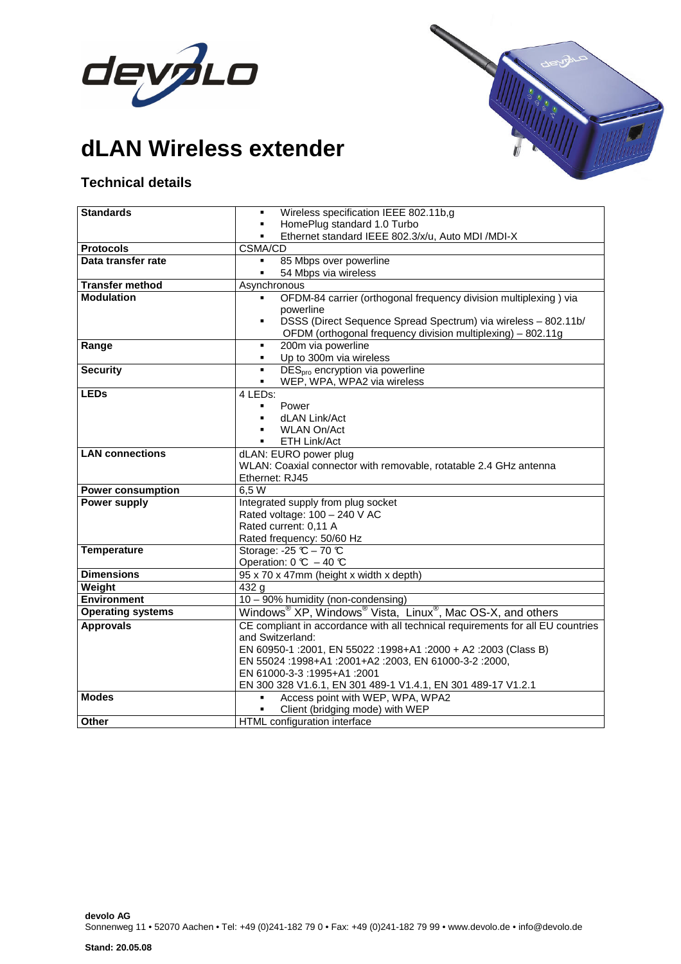

**dLAN Wireless extender**



## **Technical details**

| <b>Standards</b>                                | Wireless specification IEEE 802.11b,g<br>$\blacksquare$                                        |
|-------------------------------------------------|------------------------------------------------------------------------------------------------|
|                                                 | HomePlug standard 1.0 Turbo                                                                    |
|                                                 | Ethernet standard IEEE 802.3/x/u, Auto MDI /MDI-X<br>$\blacksquare$                            |
| <b>Protocols</b>                                | CSMA/CD                                                                                        |
| Data transfer rate                              | 85 Mbps over powerline<br>٠                                                                    |
|                                                 | 54 Mbps via wireless<br>$\blacksquare$                                                         |
| <b>Transfer method</b>                          | Asynchronous                                                                                   |
| <b>Modulation</b>                               | OFDM-84 carrier (orthogonal frequency division multiplexing) via                               |
|                                                 | powerline<br>DSSS (Direct Sequence Spread Spectrum) via wireless - 802.11b/<br>$\blacksquare$  |
|                                                 | OFDM (orthogonal frequency division multiplexing) - 802.11g                                    |
| Range                                           | 200m via powerline<br>٠                                                                        |
|                                                 | Up to 300m via wireless                                                                        |
| <b>Security</b>                                 | DES <sub>pro</sub> encryption via powerline<br>٠                                               |
|                                                 | WEP, WPA, WPA2 via wireless<br>٠                                                               |
| <b>LEDs</b>                                     | 4 LEDs:                                                                                        |
|                                                 | Power<br>$\blacksquare$                                                                        |
|                                                 | dLAN Link/Act                                                                                  |
|                                                 | <b>WLAN On/Act</b>                                                                             |
|                                                 | <b>ETH Link/Act</b><br>$\blacksquare$                                                          |
| <b>LAN</b> connections                          | dLAN: EURO power plug                                                                          |
|                                                 | WLAN: Coaxial connector with removable, rotatable 2.4 GHz antenna                              |
|                                                 | Ethernet: RJ45                                                                                 |
| <b>Power consumption</b><br><b>Power supply</b> | 6,5W                                                                                           |
|                                                 | Integrated supply from plug socket<br>Rated voltage: 100 - 240 V AC                            |
|                                                 | Rated current: 0,11 A                                                                          |
|                                                 | Rated frequency: 50/60 Hz                                                                      |
| <b>Temperature</b>                              | Storage: -25 $C - 70$ $C$                                                                      |
|                                                 | Operation: $0 \text{ C} - 40 \text{ C}$                                                        |
| <b>Dimensions</b>                               | 95 x 70 x 47mm (height x width x depth)                                                        |
| Weight                                          | $\overline{432}$ g                                                                             |
| <b>Environment</b>                              | 10 - 90% humidity (non-condensing)                                                             |
| <b>Operating systems</b>                        | Windows <sup>®</sup> XP, Windows <sup>®</sup> Vista, Linux <sup>®</sup> , Mac OS-X, and others |
| <b>Approvals</b>                                | CE compliant in accordance with all technical requirements for all EU countries                |
|                                                 | and Switzerland:                                                                               |
|                                                 | EN 60950-1 :2001, EN 55022 :1998+A1 :2000 + A2 :2003 (Class B)                                 |
|                                                 | EN 55024 :1998+A1 :2001+A2 :2003, EN 61000-3-2 :2000,                                          |
|                                                 | EN 61000-3-3:1995+A1:2001                                                                      |
|                                                 | EN 300 328 V1.6.1, EN 301 489-1 V1.4.1, EN 301 489-17 V1.2.1                                   |
| <b>Modes</b>                                    | Access point with WEP, WPA, WPA2<br>٠                                                          |
|                                                 | Client (bridging mode) with WEP                                                                |
| <b>Other</b>                                    | HTML configuration interface                                                                   |